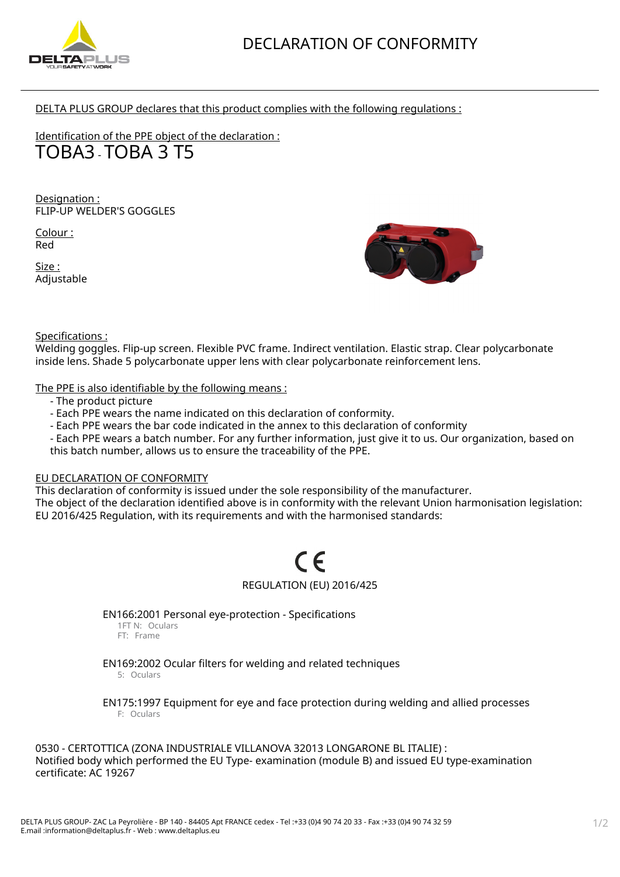

DELTA PLUS GROUP declares that this product complies with the following regulations :

Identification of the PPE object of the declaration : TOBA3 - TOBA 3 T5

Designation : FLIP-UP WELDER'S GOGGLES

Colour : Red

Size : Adjustable



# Specifications :

Welding goggles. Flip-up screen. Flexible PVC frame. Indirect ventilation. Elastic strap. Clear polycarbonate inside lens. Shade 5 polycarbonate upper lens with clear polycarbonate reinforcement lens.

The PPE is also identifiable by the following means :

- The product picture
- Each PPE wears the name indicated on this declaration of conformity.
- Each PPE wears the bar code indicated in the annex to this declaration of conformity
- Each PPE wears a batch number. For any further information, just give it to us. Our organization, based on this batch number, allows us to ensure the traceability of the PPE.

# EU DECLARATION OF CONFORMITY

This declaration of conformity is issued under the sole responsibility of the manufacturer. The object of the declaration identified above is in conformity with the relevant Union harmonisation legislation: EU 2016/425 Regulation, with its requirements and with the harmonised standards:

# REGULATION (EU) 2016/425

EN166:2001 Personal eye-protection - Specifications 1FT N: Oculars

FT: Frame

EN169:2002 Ocular filters for welding and related techniques

5: Oculars

EN175:1997 Equipment for eye and face protection during welding and allied processes F: Oculars

0530 - CERTOTTICA (ZONA INDUSTRIALE VILLANOVA 32013 LONGARONE BL ITALIE) : Notified body which performed the EU Type- examination (module B) and issued EU type-examination certificate: AC 19267